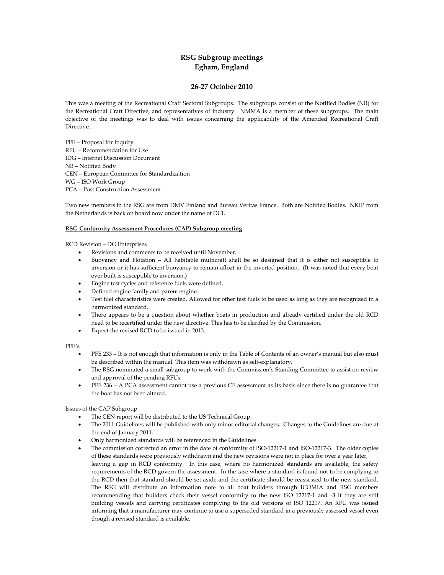# **RSG Subgroup meetings Egham, England**

# **26-27 October 2010**

This was a meeting of the Recreational Craft Sectoral Subgroups. The subgroups consist of the Notified Bodies (NB) for the Recreational Craft Directive, and representatives of industry. NMMA is a member of these subgroups. The main objective of the meetings was to deal with issues concerning the applicability of the Amended Recreational Craft Directive.

PFE – Proposal for Inquiry RFU – Recommendation for Use IDG – Internet Discussion Document NB – Notified Body CEN – European Committee for Standardization WG – ISO Work Group PCA – Post Construction Assessment

Two new members in the RSG are from DMV Finland and Bureau Veritas France. Both are Notified Bodies. NKIP from the Netherlands is back on board now under the name of DCI.

#### **RSG Conformity Assessment Procedures (CAP) Subgroup meeting**

#### RCD Revision – DG Enterprises

- Revisions and comments to be received until November.<br>• Buoyancy and Flotation All habitable multicraft sha
- Buoyancy and Flotation All habitable multicraft shall be so designed that it is either not susceptible to inversion or it has sufficient buoyancy to remain afloat in the inverted position. (It was noted that every boat ever built is susceptible to inversion.)
- Engine test cycles and reference fuels were defined.
- Defined engine family and parent engine.
- Test fuel characteristics were created. Allowed for other test fuels to be used as long as they are recognized in a harmonized standard.
- There appears to be a question about whether boats in production and already certified under the old RCD need to be recertified under the new directive. This has to be clarified by the Commission.
- Expect the revised RCD to be issued in 2013.

#### PFE's

- PFE 233 It is not enough that information is only in the Table of Contents of an owner's manual but also must be described within the manual. This item was withdrawn as self-explanatory.
- The RSG nominated a small subgroup to work with the Commission's Standing Committee to assist on review and approval of the pending RFUs.
- PFE 236 A PCA assessment cannot use a previous CE assessment as its basis since there is no guarantee that the boat has not been altered.

# Issues of the CAP Subgroup

- The CEN report will be distributed to the US Technical Group.
- The 2011 Guidelines will be published with only minor editorial changes. Changes to the Guidelines are due at the end of January 2011.
- Only harmonized standards will be referenced in the Guidelines.
- The commission corrected an error in the date of conformity of ISO-12217-1 and ISO-12217-3. The older copies of these standards were previously withdrawn and the new revisions were not in place for over a year later, leaving a gap in RCD conformity. In this case, where no harmonized standards are available, the safety requirements of the RCD govern the assessment. In the case where a standard is found not to be complying to the RCD then that standard should be set aside and the certificate should be reassessed to the new standard. The RSG will distribute an information note to all boat builders through ICOMIA and RSG members recommending that builders check their vessel conformity to the new ISO 12217-1 and -3 if they are still building vessels and carrying certificates complying to the old versions of ISO 12217. An RFU was issued informing that a manufacturer may continue to use a superseded standard in a previously assessed vessel even though a revised standard is available.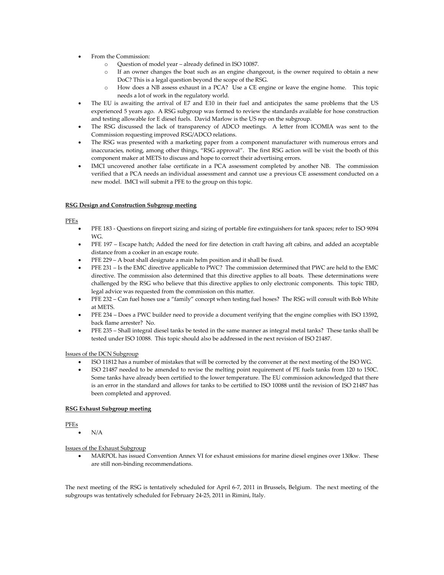- From the Commission:
	- o Question of model year already defined in ISO 10087.
	- o If an owner changes the boat such as an engine changeout, is the owner required to obtain a new DoC? This is a legal question beyond the scope of the RSG.
	- o How does a NB assess exhaust in a PCA? Use a CE engine or leave the engine home. This topic needs a lot of work in the regulatory world.
- The EU is awaiting the arrival of E7 and E10 in their fuel and anticipates the same problems that the US experienced 5 years ago. A RSG subgroup was formed to review the standards available for hose construction and testing allowable for E diesel fuels. David Marlow is the US rep on the subgroup.
- The RSG discussed the lack of transparency of ADCO meetings. A letter from ICOMIA was sent to the Commission requesting improved RSG/ADCO relations.
- The RSG was presented with a marketing paper from a component manufacturer with numerous errors and inaccuracies, noting, among other things, "RSG approval". The first RSG action will be visit the booth of this component maker at METS to discuss and hope to correct their advertising errors.
- IMCI uncovered another false certificate in a PCA assessment completed by another NB. The commission verified that a PCA needs an individual assessment and cannot use a previous CE assessment conducted on a new model. IMCI will submit a PFE to the group on this topic.

# **RSG Design and Construction Subgroup meeting**

# PFEs

- PFE 183 Questions on fireport sizing and sizing of portable fire extinguishers for tank spaces; refer to ISO 9094 WG.
- PFE 197 Escape hatch; Added the need for fire detection in craft having aft cabins, and added an acceptable distance from a cooker in an escape route.
- PFE 229 A boat shall designate a main helm position and it shall be fixed.
- PFE 231 Is the EMC directive applicable to PWC? The commission determined that PWC are held to the EMC directive. The commission also determined that this directive applies to all boats. These determinations were challenged by the RSG who believe that this directive applies to only electronic components. This topic TBD, legal advice was requested from the commission on this matter.
- PFE 232 Can fuel hoses use a "family" concept when testing fuel hoses? The RSG will consult with Bob White at METS.
- PFE 234 Does a PWC builder need to provide a document verifying that the engine complies with ISO 13592, back flame arrester? No.
- PFE 235 Shall integral diesel tanks be tested in the same manner as integral metal tanks? These tanks shall be tested under ISO 10088. This topic should also be addressed in the next revision of ISO 21487.

#### Issues of the DCN Subgroup

- ISO 11812 has a number of mistakes that will be corrected by the convener at the next meeting of the ISO WG.
- ISO 21487 needed to be amended to revise the melting point requirement of PE fuels tanks from 120 to 150C. Some tanks have already been certified to the lower temperature. The EU commission acknowledged that there is an error in the standard and allows for tanks to be certified to ISO 10088 until the revision of ISO 21487 has been completed and approved.

# **RSG Exhaust Subgroup meeting**

#### PFEs

N/A

Issues of the Exhaust Subgroup

 MARPOL has issued Convention Annex VI for exhaust emissions for marine diesel engines over 130kw. These are still non-binding recommendations.

The next meeting of the RSG is tentatively scheduled for April 6-7, 2011 in Brussels, Belgium. The next meeting of the subgroups was tentatively scheduled for February 24-25, 2011 in Rimini, Italy.